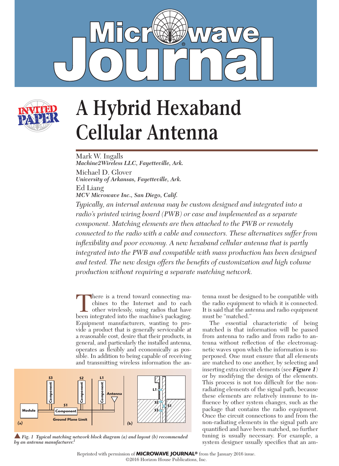



# **A Hybrid Hexaband Cellular Antenna**

Mark W. Ingalls *Machine2Wireless LLC, Fayetteville, Ark.* Michael D. Glover *University of Arkansas, Fayetteville, Ark.* Ed Liang *MCV Microwave Inc., San Diego, Calif.*

*Typically, an internal antenna may be custom designed and integrated into a radio's printed wiring board (PWB) or case and implemented as a separate component. Matching elements are then attached to the PWB or remotely connected to the radio with a cable and connectors. These alternatives suffer from inflexibility and poor economy. A new hexaband cellular antenna that is partly integrated into the PWB and compatible with mass production has been designed*  and tested. The new design offers the benefits of customization and high volume *production without requiring a separate matching network.*

There is a trend toward connecting machines to the Internet and to each other wirelessly, using radios that have been integrated into the machine's packaging. chines to the Internet and to each other wirelessly, using radios that have been integrated into the machine's packaging. Equipment manufacturers, wanting to provide a product that is generally serviceable at a reasonable cost, desire that their products, in general, and particularly the installed antenna, operates as flexibly and economically as possible. In addition to being capable of receiving and transmitting wireless information the an-



■ Fig. 1 Typical matching network block diagram (a) and layout (b) recommended tuning is usually necessary. For example, a<br>by an antenna manufacturer.<sup>1</sup> system designer usually specifies that an am*by an antenna manufacturer.1*

tenna must be designed to be compatible with the radio equipment to which it is connected. It is said that the antenna and radio equipment must be "matched."

The essential characteristic of being matched is that information will be passed from antenna to radio and from radio to antenna without reflection of the electromagnetic waves upon which the information is superposed. One must ensure that all elements are matched to one another, by selecting and inserting extra circuit elements (see *Figure 1*) or by modifying the design of the elements. This process is not too difficult for the nonradiating elements of the signal path, because these elements are relatively immune to influence by other system changes, such as the package that contains the radio equipment. Once the circuit connections to and from the non-radiating elements in the signal path are quantified and have been matched, no further tuning is usually necessary. For example, a

Reprinted with permission of **MICROWAVE JOURNAL®** from the January 2016 issue.

©2016 Horizon House Publications, Inc.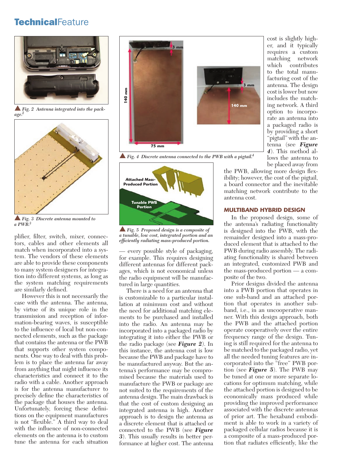# **TechnicalFeature**



**Fig. 2** Antenna integrated into the pack*age.2*



s *Fig. 3 Discrete antenna mounted to a PWB.3*

plifier, filter, switch, mixer, connectors, cables and other elements all match when incorporated into a system. The vendors of these elements are able to provide these components to many system designers for integration into different systems, as long as the system matching requirements are similarly defined.

However this is not necessarily the case with the antenna. The antenna, by virtue of its unique role in the transmission and reception of information-bearing waves, is susceptible to the influence of local but non-connected elements, such as the package that contains the antenna or the PWB that supports other system components. One way to deal with this problem is to place the antenna far away from anything that might influence its characteristics and connect it to the radio with a cable. Another approach is for the antenna manufacturer to precisely define the characteristics of the package that houses the antenna. Unfortunately, forcing these definitions on the equipment manufactures is not "flexible." A third way to deal with the influence of non-connected elements on the antenna is to custom tune the antenna for each situation



 $\blacktriangle$  Fig. 4 Discrete antenna connected to the PWB with a pigtail.<sup>4</sup>



s *Fig. 5 Proposed design is a composite of a tunable, low cost, integrated portion and an efficiently radiating mass-produced portion.*

— every possible style of packaging, for example. This requires designing different antennas for different packages, which is not economical unless the radio equipment will be manufactured in large quantities.

There is a need for an antenna that is customizable to a particular installation at minimum cost and without the need for additional matching elements to be purchased and installed into the radio. An antenna may be incorporated into a packaged radio by integrating it into either the PWB or the radio package (see *Figure 2*). In this instance, the antenna cost is low because the PWB and package have to be manufactured anyway. But the antenna's performance may be compromised because the materials used to manufacture the PWB or package are not suited to the requirements of the antenna design. The main drawback is that the cost of custom designing an integrated antenna is high. Another approach is to design the antenna as a discrete element that is attached or connected to the PWB (see *Figure 3*). This usually results in better performance at higher cost. The antenna cost is slightly higher, and it typically requires a custom matching network which contributes to the total manufacturing cost of the antenna. The design cost is lower but now includes the matching network. A third option to incorporate an antenna into a packaged radio is by providing a short "pigtail" with the antenna (see *Figure 4*). This method allows the antenna to be placed away from

the PWB, allowing more design flexibility; however, the cost of the pigtail, a board connector and the inevitable matching network contribute to the antenna cost.

#### **MULTIBAND HYBRID DESIGN**

In the proposed design, some of the antenna's radiating functionality is designed into the PWB, with the remainder designed into a mass-produced element that is attached to the PWB during radio assembly. The radiating functionality is shared between an integrated, customized PWB and the mass-produced portion — a composite of the two.

Prior designs divided the antenna into a PWB portion that operates in one sub-band and an attached portion that operates in another subband, i.e., in an uncooperative manner. With this design approach, both the PWB and the attached portion operate cooperatively over the entire frequency range of the design. Tuning is still required for the antenna to be matched to the packaged radio, yet all the needed tuning features are incorporated into the "free" PWB portion (see *Figure 5*). The PWB may be tuned at one or more separate locations for optimum matching, while the attached portion is designed to be economically mass produced while providing the improved performance associated with the discrete antennas of prior art. The hexaband embodiment is able to work in a variety of packaged cellular radios because it is a composite of a mass-produced portion that radiates efficiently, like the